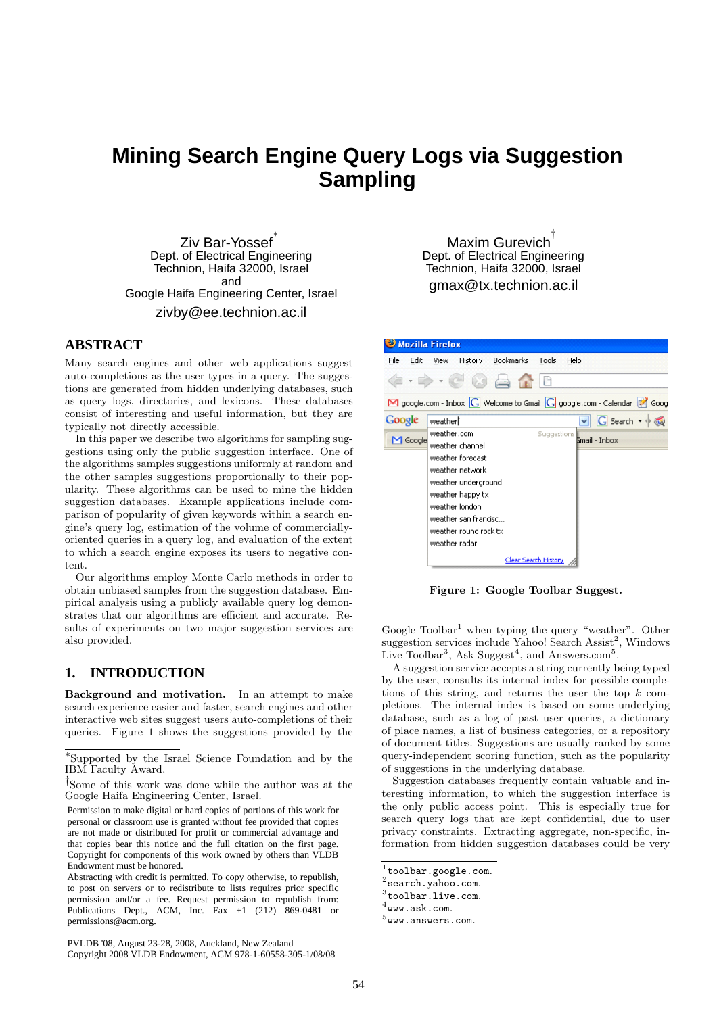# **Mining Search Engine Query Logs via Suggestion Sampling**

Ziv Bar-Yossef ∗ Dept. of Electrical Engineering Technion, Haifa 32000, Israel and Google Haifa Engineering Center, Israel zivby@ee.technion.ac.il

# **ABSTRACT**

Many search engines and other web applications suggest auto-completions as the user types in a query. The suggestions are generated from hidden underlying databases, such as query logs, directories, and lexicons. These databases consist of interesting and useful information, but they are typically not directly accessible.

In this paper we describe two algorithms for sampling suggestions using only the public suggestion interface. One of the algorithms samples suggestions uniformly at random and the other samples suggestions proportionally to their popularity. These algorithms can be used to mine the hidden suggestion databases. Example applications include comparison of popularity of given keywords within a search engine's query log, estimation of the volume of commerciallyoriented queries in a query log, and evaluation of the extent to which a search engine exposes its users to negative content.

Our algorithms employ Monte Carlo methods in order to obtain unbiased samples from the suggestion database. Empirical analysis using a publicly available query log demonstrates that our algorithms are efficient and accurate. Results of experiments on two major suggestion services are also provided.

# **1. INTRODUCTION**

Background and motivation. In an attempt to make search experience easier and faster, search engines and other interactive web sites suggest users auto-completions of their queries. Figure 1 shows the suggestions provided by the

PVLDB '08, August 23-28, 2008, Auckland, New Zealand Copyright 2008 VLDB Endowment, ACM 978-1-60558-305-1/08/08

Maxim Gurevich † Dept. of Electrical Engineering Technion, Haifa 32000, Israel gmax@tx.technion.ac.il



Figure 1: Google Toolbar Suggest.

Google Toolbar<sup>1</sup> when typing the query "weather". Other suggestion services include Yahoo! Search Assist<sup>2</sup>, Windows Live Toolbar<sup>3</sup>, Ask Suggest<sup>4</sup>, and Answers.com<sup>5</sup>.

A suggestion service accepts a string currently being typed by the user, consults its internal index for possible completions of this string, and returns the user the top  $k$  completions. The internal index is based on some underlying database, such as a log of past user queries, a dictionary of place names, a list of business categories, or a repository of document titles. Suggestions are usually ranked by some query-independent scoring function, such as the popularity of suggestions in the underlying database.

Suggestion databases frequently contain valuable and interesting information, to which the suggestion interface is the only public access point. This is especially true for search query logs that are kept confidential, due to user privacy constraints. Extracting aggregate, non-specific, information from hidden suggestion databases could be very

<sup>∗</sup> Supported by the Israel Science Foundation and by the IBM Faculty Award.

<sup>†</sup> Some of this work was done while the author was at the Google Haifa Engineering Center, Israel.

are not made or distributed for profit or commercial advantage and that copies bear this notice and the full citation on the first page. Copyright for components of this work owned by others than VLDB  $\alpha$  is given that concluded. Permission to make digital or hard copies of portions of this work for personal or classroom use is granted without fee provided that copies Endowment must be honored.

Abstracting with credit is permitted. To copy otherwise, to republish, to post on servers or to redistribute to lists requires prior specific permission and Publications Dept., ACM, Inc. Fax +1 (212) permissions@acm.org. permission and/or a fee. Request permission to republish from: Publications Dept., ACM, Inc. Fax  $+1$  (212) 869-0481 or

 $^{1}$ toolbar.google.com.

 $^{2}$ search.yahoo.com.

 $^3$ toolbar.live.com.

 $^4$ www.ask.com.

 $^5$ www.answers.com.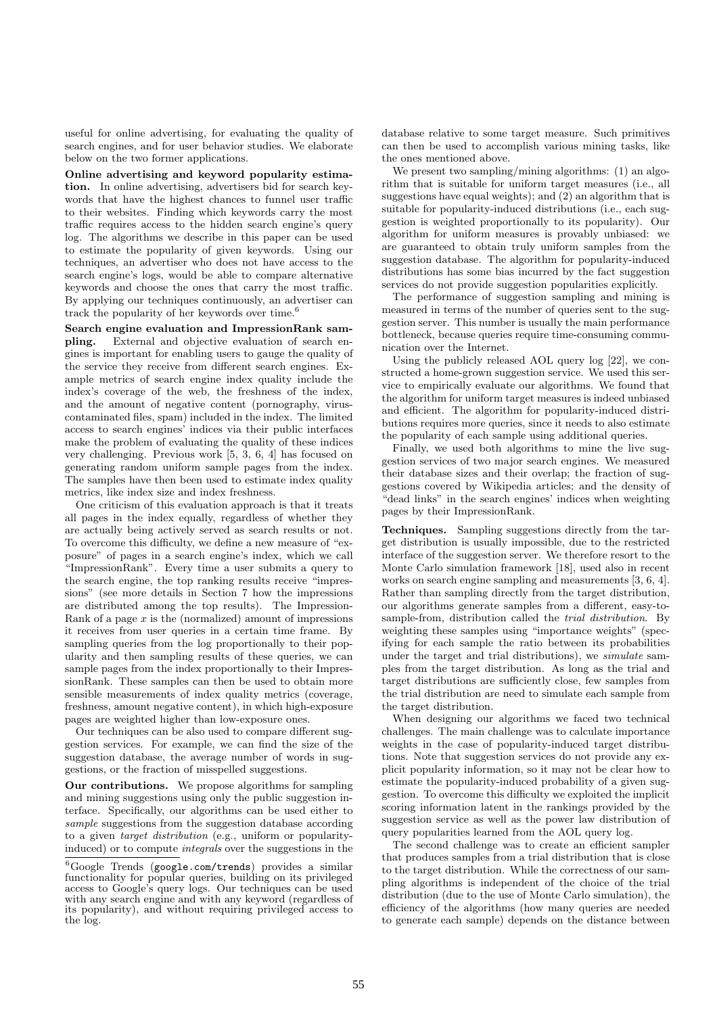useful for online advertising, for evaluating the quality of search engines, and for user behavior studies. We elaborate below on the two former applications.

Online advertising and keyword popularity estimation. In online advertising, advertisers bid for search keywords that have the highest chances to funnel user traffic to their websites. Finding which keywords carry the most traffic requires access to the hidden search engine's query log. The algorithms we describe in this paper can be used to estimate the popularity of given keywords. Using our techniques, an advertiser who does not have access to the search engine's logs, would be able to compare alternative keywords and choose the ones that carry the most traffic. By applying our techniques continuously, an advertiser can track the popularity of her keywords over time.<sup> $6$ </sup>

Search engine evaluation and ImpressionRank sampling. External and objective evaluation of search engines is important for enabling users to gauge the quality of the service they receive from different search engines. Example metrics of search engine index quality include the index's coverage of the web, the freshness of the index, and the amount of negative content (pornography, viruscontaminated files, spam) included in the index. The limited access to search engines' indices via their public interfaces make the problem of evaluating the quality of these indices very challenging. Previous work [5, 3, 6, 4] has focused on generating random uniform sample pages from the index. The samples have then been used to estimate index quality metrics, like index size and index freshness.

One criticism of this evaluation approach is that it treats all pages in the index equally, regardless of whether they are actually being actively served as search results or not. To overcome this difficulty, we define a new measure of "exposure" of pages in a search engine's index, which we call "ImpressionRank". Every time a user submits a query to the search engine, the top ranking results receive "impressions" (see more details in Section 7 how the impressions are distributed among the top results). The Impression-Rank of a page  $x$  is the (normalized) amount of impressions it receives from user queries in a certain time frame. By sampling queries from the log proportionally to their popularity and then sampling results of these queries, we can sample pages from the index proportionally to their ImpressionRank. These samples can then be used to obtain more sensible measurements of index quality metrics (coverage, freshness, amount negative content), in which high-exposure pages are weighted higher than low-exposure ones.

Our techniques can be also used to compare different suggestion services. For example, we can find the size of the suggestion database, the average number of words in suggestions, or the fraction of misspelled suggestions.

Our contributions. We propose algorithms for sampling and mining suggestions using only the public suggestion interface. Specifically, our algorithms can be used either to sample suggestions from the suggestion database according to a given target distribution (e.g., uniform or popularityinduced) or to compute integrals over the suggestions in the

database relative to some target measure. Such primitives can then be used to accomplish various mining tasks, like the ones mentioned above.

We present two sampling/mining algorithms: (1) an algorithm that is suitable for uniform target measures (i.e., all suggestions have equal weights); and  $(2)$  an algorithm that is suitable for popularity-induced distributions (i.e., each suggestion is weighted proportionally to its popularity). Our algorithm for uniform measures is provably unbiased: we are guaranteed to obtain truly uniform samples from the suggestion database. The algorithm for popularity-induced distributions has some bias incurred by the fact suggestion services do not provide suggestion popularities explicitly.

The performance of suggestion sampling and mining is measured in terms of the number of queries sent to the suggestion server. This number is usually the main performance bottleneck, because queries require time-consuming communication over the Internet.

Using the publicly released AOL query log [22], we constructed a home-grown suggestion service. We used this service to empirically evaluate our algorithms. We found that the algorithm for uniform target measures is indeed unbiased and efficient. The algorithm for popularity-induced distributions requires more queries, since it needs to also estimate the popularity of each sample using additional queries.

Finally, we used both algorithms to mine the live suggestion services of two major search engines. We measured their database sizes and their overlap; the fraction of suggestions covered by Wikipedia articles; and the density of "dead links" in the search engines' indices when weighting pages by their ImpressionRank.

Techniques. Sampling suggestions directly from the target distribution is usually impossible, due to the restricted interface of the suggestion server. We therefore resort to the Monte Carlo simulation framework [18], used also in recent works on search engine sampling and measurements [3, 6, 4]. Rather than sampling directly from the target distribution, our algorithms generate samples from a different, easy-tosample-from, distribution called the trial distribution. By weighting these samples using "importance weights" (specifying for each sample the ratio between its probabilities under the target and trial distributions), we *simulate* samples from the target distribution. As long as the trial and target distributions are sufficiently close, few samples from the trial distribution are need to simulate each sample from the target distribution.

When designing our algorithms we faced two technical challenges. The main challenge was to calculate importance weights in the case of popularity-induced target distributions. Note that suggestion services do not provide any explicit popularity information, so it may not be clear how to estimate the popularity-induced probability of a given suggestion. To overcome this difficulty we exploited the implicit scoring information latent in the rankings provided by the suggestion service as well as the power law distribution of query popularities learned from the AOL query log.

The second challenge was to create an efficient sampler that produces samples from a trial distribution that is close to the target distribution. While the correctness of our sampling algorithms is independent of the choice of the trial distribution (due to the use of Monte Carlo simulation), the efficiency of the algorithms (how many queries are needed to generate each sample) depends on the distance between

<sup>6</sup>Google Trends (google.com/trends) provides a similar functionality for popular queries, building on its privileged access to Google's query logs. Our techniques can be used with any search engine and with any keyword (regardless of its popularity), and without requiring privileged access to the log.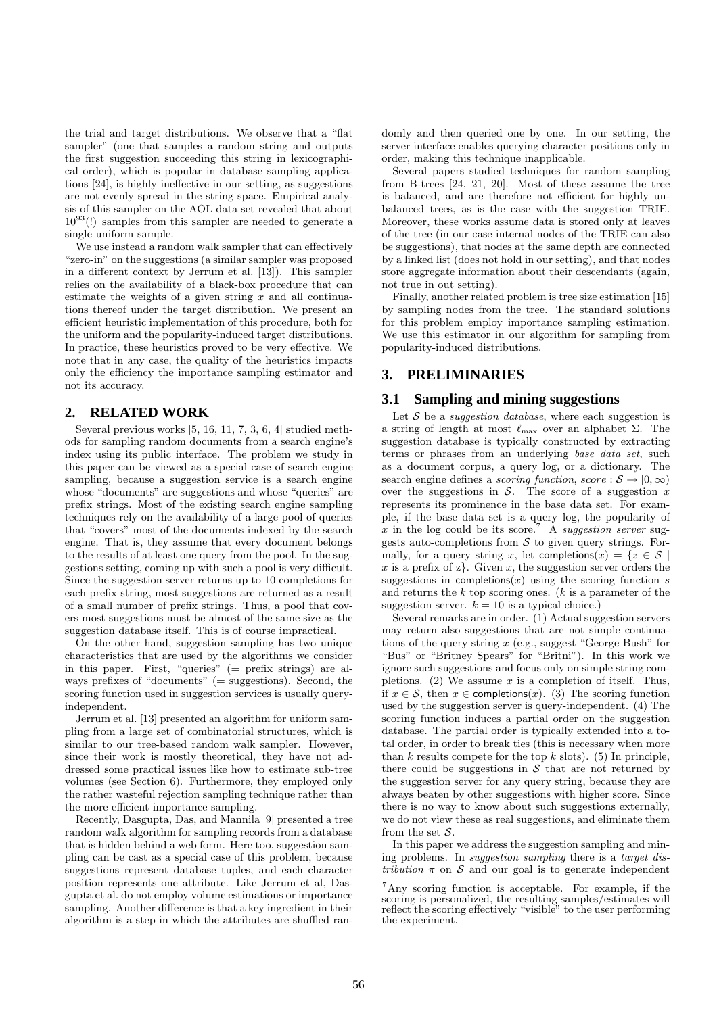the trial and target distributions. We observe that a "flat sampler" (one that samples a random string and outputs the first suggestion succeeding this string in lexicographical order), which is popular in database sampling applications [24], is highly ineffective in our setting, as suggestions are not evenly spread in the string space. Empirical analysis of this sampler on the AOL data set revealed that about  $10^{93}$ (!) samples from this sampler are needed to generate a single uniform sample.

We use instead a random walk sampler that can effectively "zero-in" on the suggestions (a similar sampler was proposed in a different context by Jerrum et al. [13]). This sampler relies on the availability of a black-box procedure that can estimate the weights of a given string  $x$  and all continuations thereof under the target distribution. We present an efficient heuristic implementation of this procedure, both for the uniform and the popularity-induced target distributions. In practice, these heuristics proved to be very effective. We note that in any case, the quality of the heuristics impacts only the efficiency the importance sampling estimator and not its accuracy.

# **2. RELATED WORK**

Several previous works [5, 16, 11, 7, 3, 6, 4] studied methods for sampling random documents from a search engine's index using its public interface. The problem we study in this paper can be viewed as a special case of search engine sampling, because a suggestion service is a search engine whose "documents" are suggestions and whose "queries" are prefix strings. Most of the existing search engine sampling techniques rely on the availability of a large pool of queries that "covers" most of the documents indexed by the search engine. That is, they assume that every document belongs to the results of at least one query from the pool. In the suggestions setting, coming up with such a pool is very difficult. Since the suggestion server returns up to 10 completions for each prefix string, most suggestions are returned as a result of a small number of prefix strings. Thus, a pool that covers most suggestions must be almost of the same size as the suggestion database itself. This is of course impractical.

On the other hand, suggestion sampling has two unique characteristics that are used by the algorithms we consider in this paper. First, "queries" ( $=$  prefix strings) are always prefixes of "documents"  $(=\frac{1}{\sqrt{2}})$  suggestions). Second, the scoring function used in suggestion services is usually queryindependent.

Jerrum et al. [13] presented an algorithm for uniform sampling from a large set of combinatorial structures, which is similar to our tree-based random walk sampler. However, since their work is mostly theoretical, they have not addressed some practical issues like how to estimate sub-tree volumes (see Section 6). Furthermore, they employed only the rather wasteful rejection sampling technique rather than the more efficient importance sampling.

Recently, Dasgupta, Das, and Mannila [9] presented a tree random walk algorithm for sampling records from a database that is hidden behind a web form. Here too, suggestion sampling can be cast as a special case of this problem, because suggestions represent database tuples, and each character position represents one attribute. Like Jerrum et al, Dasgupta et al. do not employ volume estimations or importance sampling. Another difference is that a key ingredient in their algorithm is a step in which the attributes are shuffled ran-

domly and then queried one by one. In our setting, the server interface enables querying character positions only in order, making this technique inapplicable.

Several papers studied techniques for random sampling from B-trees [24, 21, 20]. Most of these assume the tree is balanced, and are therefore not efficient for highly unbalanced trees, as is the case with the suggestion TRIE. Moreover, these works assume data is stored only at leaves of the tree (in our case internal nodes of the TRIE can also be suggestions), that nodes at the same depth are connected by a linked list (does not hold in our setting), and that nodes store aggregate information about their descendants (again, not true in out setting).

Finally, another related problem is tree size estimation [15] by sampling nodes from the tree. The standard solutions for this problem employ importance sampling estimation. We use this estimator in our algorithm for sampling from popularity-induced distributions.

# **3. PRELIMINARIES**

#### **3.1 Sampling and mining suggestions**

Let  $S$  be a *suggestion database*, where each suggestion is a string of length at most  $\ell_{\text{max}}$  over an alphabet Σ. The suggestion database is typically constructed by extracting terms or phrases from an underlying base data set, such as a document corpus, a query log, or a dictionary. The search engine defines a *scoring function, score* :  $S \rightarrow [0, \infty)$ over the suggestions in  $S$ . The score of a suggestion  $x$ represents its prominence in the base data set. For example, if the base data set is a query log, the popularity of x in the log could be its score.<sup>7</sup> A *suggestion server* suggests auto-completions from  $S$  to given query strings. Formally, for a query string x, let completions(x) = { $z \in S$ x is a prefix of  $z$ . Given x, the suggestion server orders the suggestions in completions(x) using the scoring function  $s$ and returns the  $k$  top scoring ones.  $(k \text{ is a parameter of the})$ suggestion server.  $k = 10$  is a typical choice.)

Several remarks are in order. (1) Actual suggestion servers may return also suggestions that are not simple continuations of the query string  $x$  (e.g., suggest "George Bush" for "Bus" or "Britney Spears" for "Britni"). In this work we ignore such suggestions and focus only on simple string completions. (2) We assume  $x$  is a completion of itself. Thus, if  $x \in \mathcal{S}$ , then  $x \in \text{completons}(x)$ . (3) The scoring function used by the suggestion server is query-independent. (4) The scoring function induces a partial order on the suggestion database. The partial order is typically extended into a total order, in order to break ties (this is necessary when more than  $k$  results compete for the top  $k$  slots). (5) In principle, there could be suggestions in  $S$  that are not returned by the suggestion server for any query string, because they are always beaten by other suggestions with higher score. Since there is no way to know about such suggestions externally, we do not view these as real suggestions, and eliminate them from the set  $S$ .

In this paper we address the suggestion sampling and mining problems. In suggestion sampling there is a target distribution  $\pi$  on S and our goal is to generate independent

<sup>7</sup>Any scoring function is acceptable. For example, if the scoring is personalized, the resulting samples/estimates will reflect the scoring effectively "visible" to the user performing the experiment.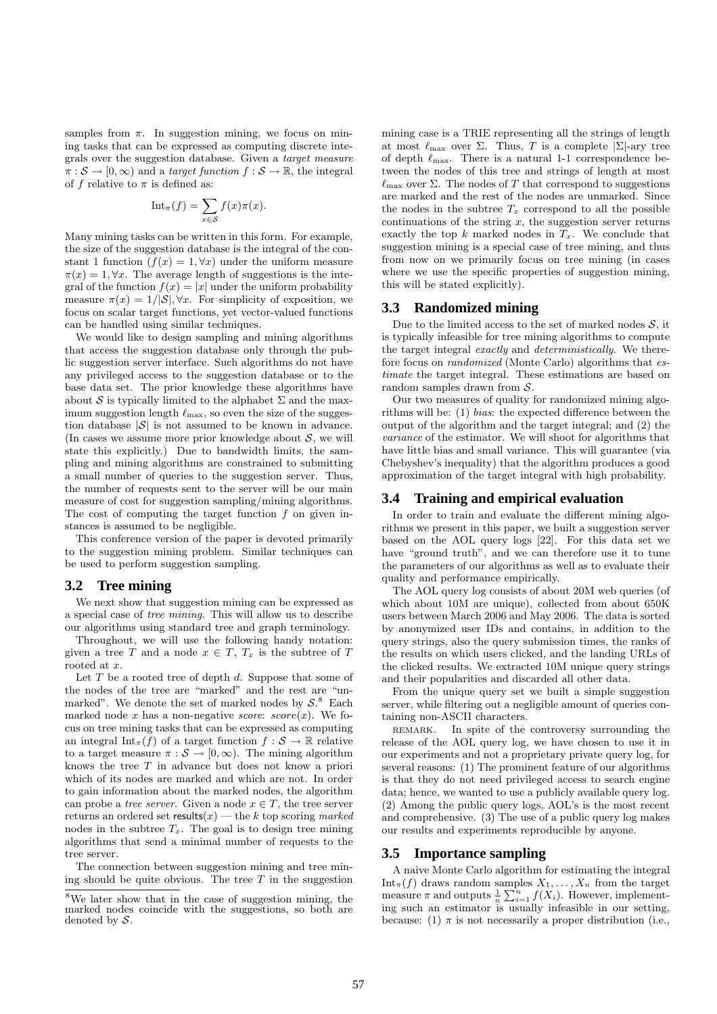samples from  $\pi$ . In suggestion mining, we focus on mining tasks that can be expressed as computing discrete integrals over the suggestion database. Given a target measure  $\pi : \mathcal{S} \to [0, \infty)$  and a target function  $f : \mathcal{S} \to \mathbb{R}$ , the integral of f relative to  $\pi$  is defined as:

$$
\mathrm{Int}_{\pi}(f) = \sum_{x \in \mathcal{S}} f(x)\pi(x).
$$

Many mining tasks can be written in this form. For example, the size of the suggestion database is the integral of the constant 1 function  $(f(x) = 1, \forall x)$  under the uniform measure  $\pi(x) = 1, \forall x$ . The average length of suggestions is the integral of the function  $f(x) = |x|$  under the uniform probability measure  $\pi(x) = 1/|\mathcal{S}|$ ,  $\forall x$ . For simplicity of exposition, we focus on scalar target functions, yet vector-valued functions can be handled using similar techniques.

We would like to design sampling and mining algorithms that access the suggestion database only through the public suggestion server interface. Such algorithms do not have any privileged access to the suggestion database or to the base data set. The prior knowledge these algorithms have about S is typically limited to the alphabet  $\Sigma$  and the maximum suggestion length  $\ell_{\rm max}$ , so even the size of the suggestion database  $|\mathcal{S}|$  is not assumed to be known in advance. (In cases we assume more prior knowledge about  $S$ , we will state this explicitly.) Due to bandwidth limits, the sampling and mining algorithms are constrained to submitting a small number of queries to the suggestion server. Thus, the number of requests sent to the server will be our main measure of cost for suggestion sampling/mining algorithms. The cost of computing the target function  $f$  on given instances is assumed to be negligible.

This conference version of the paper is devoted primarily to the suggestion mining problem. Similar techniques can be used to perform suggestion sampling.

#### **3.2 Tree mining**

We next show that suggestion mining can be expressed as a special case of tree mining. This will allow us to describe our algorithms using standard tree and graph terminology.

Throughout, we will use the following handy notation: given a tree T and a node  $x \in T$ ,  $T_x$  is the subtree of T rooted at x.

Let  $T$  be a rooted tree of depth  $d$ . Suppose that some of the nodes of the tree are "marked" and the rest are "unmarked". We denote the set of marked nodes by  $S^8$ . Each marked node x has a non-negative score:  $score(x)$ . We focus on tree mining tasks that can be expressed as computing an integral Int<sub>π</sub>(f) of a target function  $f : \mathcal{S} \to \mathbb{R}$  relative to a target measure  $\pi : \mathcal{S} \to [0, \infty)$ . The mining algorithm knows the tree T in advance but does not know a priori which of its nodes are marked and which are not. In order to gain information about the marked nodes, the algorithm can probe a *tree server*. Given a node  $x \in T$ , the tree server returns an ordered set results $(x)$  — the k top scoring marked nodes in the subtree  $T<sub>x</sub>$ . The goal is to design tree mining algorithms that send a minimal number of requests to the tree server.

The connection between suggestion mining and tree mining should be quite obvious. The tree  $T$  in the suggestion

mining case is a TRIE representing all the strings of length at most  $\ell_{\text{max}}$  over  $\Sigma$ . Thus, T is a complete  $|\Sigma|$ -ary tree of depth  $\ell_{\text{max}}$ . There is a natural 1-1 correspondence between the nodes of this tree and strings of length at most  $\ell_{\text{max}}$  over  $\Sigma$ . The nodes of T that correspond to suggestions are marked and the rest of the nodes are unmarked. Since the nodes in the subtree  $T_x$  correspond to all the possible continuations of the string  $x$ , the suggestion server returns exactly the top k marked nodes in  $T_x$ . We conclude that suggestion mining is a special case of tree mining, and thus from now on we primarily focus on tree mining (in cases where we use the specific properties of suggestion mining, this will be stated explicitly).

#### **3.3 Randomized mining**

Due to the limited access to the set of marked nodes  $S$ , it is typically infeasible for tree mining algorithms to compute the target integral exactly and deterministically. We therefore focus on randomized (Monte Carlo) algorithms that estimate the target integral. These estimations are based on random samples drawn from  $S$ .

Our two measures of quality for randomized mining algorithms will be: (1) bias: the expected difference between the output of the algorithm and the target integral; and (2) the variance of the estimator. We will shoot for algorithms that have little bias and small variance. This will guarantee (via Chebyshev's inequality) that the algorithm produces a good approximation of the target integral with high probability.

#### **3.4 Training and empirical evaluation**

In order to train and evaluate the different mining algorithms we present in this paper, we built a suggestion server based on the AOL query logs [22]. For this data set we have "ground truth", and we can therefore use it to tune the parameters of our algorithms as well as to evaluate their quality and performance empirically.

The AOL query log consists of about 20M web queries (of which about 10M are unique), collected from about 650K users between March 2006 and May 2006. The data is sorted by anonymized user IDs and contains, in addition to the query strings, also the query submission times, the ranks of the results on which users clicked, and the landing URLs of the clicked results. We extracted 10M unique query strings and their popularities and discarded all other data.

From the unique query set we built a simple suggestion server, while filtering out a negligible amount of queries containing non-ASCII characters.

remark. In spite of the controversy surrounding the release of the AOL query log, we have chosen to use it in our experiments and not a proprietary private query log, for several reasons: (1) The prominent feature of our algorithms is that they do not need privileged access to search engine data; hence, we wanted to use a publicly available query log. (2) Among the public query logs, AOL's is the most recent and comprehensive. (3) The use of a public query log makes our results and experiments reproducible by anyone.

#### **3.5 Importance sampling**

A naive Monte Carlo algorithm for estimating the integral  $\text{Int}_{\pi}(f)$  draws random samples  $X_1, \ldots, X_n$  from the target measure  $\pi$  and outputs  $\frac{1}{n} \sum_{i=1}^{n} f(X_i)$ . However, implementing such an estimator is usually infeasible in our setting, because: (1)  $\pi$  is not necessarily a proper distribution (i.e.,

 $8\text{We}$  later show that in the case of suggestion mining, the marked nodes coincide with the suggestions, so both are denoted by S.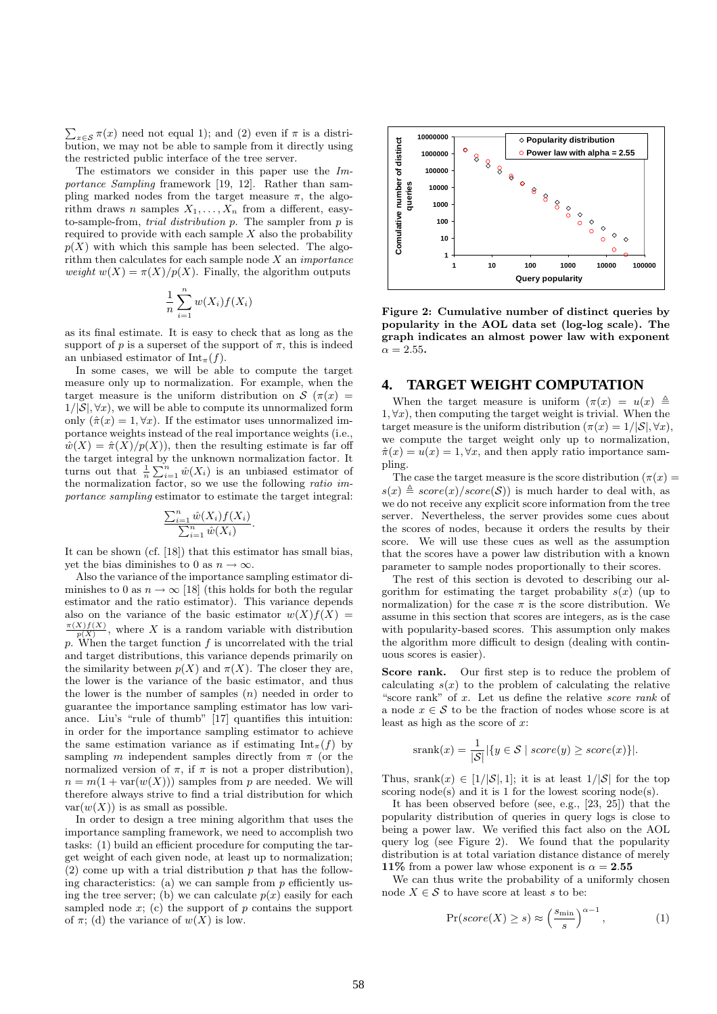$\sum_{x \in \mathcal{S}} \pi(x)$  need not equal 1); and (2) even if  $\pi$  is a distribution, we may not be able to sample from it directly using the restricted public interface of the tree server.

The estimators we consider in this paper use the Importance Sampling framework [19, 12]. Rather than sampling marked nodes from the target measure  $\pi$ , the algorithm draws n samples  $X_1, \ldots, X_n$  from a different, easyto-sample-from, *trial distribution*  $\hat{p}$ . The sampler from  $\hat{p}$  is required to provide with each sample  $X$  also the probability  $p(X)$  with which this sample has been selected. The algorithm then calculates for each sample node X an importance weight  $w(X) = \pi(X)/p(X)$ . Finally, the algorithm outputs

$$
\frac{1}{n}\sum_{i=1}^{n}w(X_i)f(X_i)
$$

as its final estimate. It is easy to check that as long as the support of p is a superset of the support of  $\pi$ , this is indeed an unbiased estimator of  $\text{Int}_{\pi}(f)$ .

In some cases, we will be able to compute the target measure only up to normalization. For example, when the target measure is the uniform distribution on  $\mathcal{S}(\pi(x))$  $1/|\mathcal{S}|, \forall x$ , we will be able to compute its unnormalized form only  $(\hat{\pi}(x) = 1, \forall x)$ . If the estimator uses unnormalized importance weights instead of the real importance weights (i.e.,  $\hat{w}(X) = \hat{\pi}(X)/p(X)$ , then the resulting estimate is far off the target integral by the unknown normalization factor. It turns out that  $\frac{1}{n} \sum_{i=1}^{n} \hat{w}(X_i)$  is an unbiased estimator of the normalization factor, so we use the following ratio importance sampling estimator to estimate the target integral:

$$
\frac{\sum_{i=1}^{n} \hat{w}(X_i) f(X_i)}{\sum_{i=1}^{n} \hat{w}(X_i)}
$$

.

It can be shown (cf. [18]) that this estimator has small bias, yet the bias diminishes to 0 as  $n \to \infty$ .

Also the variance of the importance sampling estimator diminishes to 0 as  $n \to \infty$  [18] (this holds for both the regular estimator and the ratio estimator). This variance depends also on the variance of the basic estimator  $w(X)f(X) =$  $\frac{\pi(X)f(X)}{p(X)}$ , where X is a random variable with distribution p. When the target function  $f$  is uncorrelated with the trial and target distributions, this variance depends primarily on the similarity between  $p(X)$  and  $\pi(X)$ . The closer they are, the lower is the variance of the basic estimator, and thus the lower is the number of samples  $(n)$  needed in order to guarantee the importance sampling estimator has low variance. Liu's "rule of thumb" [17] quantifies this intuition: in order for the importance sampling estimator to achieve the same estimation variance as if estimating  $Int_{\pi}(f)$  by sampling m independent samples directly from  $\pi$  (or the normalized version of  $\pi$ , if  $\pi$  is not a proper distribution),  $n = m(1 + \text{var}(w(X)))$  samples from p are needed. We will therefore always strive to find a trial distribution for which  $var(w(X))$  is as small as possible.

In order to design a tree mining algorithm that uses the importance sampling framework, we need to accomplish two tasks: (1) build an efficient procedure for computing the target weight of each given node, at least up to normalization;  $(2)$  come up with a trial distribution p that has the following characteristics: (a) we can sample from  $p$  efficiently using the tree server; (b) we can calculate  $p(x)$  easily for each sampled node  $x$ ; (c) the support of p contains the support of  $\pi$ ; (d) the variance of  $w(X)$  is low.



Figure 2: Cumulative number of distinct queries by popularity in the AOL data set (log-log scale). The graph indicates an almost power law with exponent  $\alpha = 2.55$ .

#### **4. TARGET WEIGHT COMPUTATION**

When the target measure is uniform  $(\pi(x)) = u(x) \triangleq$  $1, \forall x$ , then computing the target weight is trivial. When the target measure is the uniform distribution  $(\pi(x) = 1/|\mathcal{S}|, \forall x)$ , we compute the target weight only up to normalization,  $\hat{\pi}(x) = u(x) = 1, \forall x$ , and then apply ratio importance sampling.

The case the target measure is the score distribution ( $\pi(x)$ )  $s(x) \triangleq score(x)/score(S)$  is much harder to deal with, as we do not receive any explicit score information from the tree server. Nevertheless, the server provides some cues about the scores of nodes, because it orders the results by their score. We will use these cues as well as the assumption that the scores have a power law distribution with a known parameter to sample nodes proportionally to their scores.

The rest of this section is devoted to describing our algorithm for estimating the target probability  $s(x)$  (up to normalization) for the case  $\pi$  is the score distribution. We assume in this section that scores are integers, as is the case with popularity-based scores. This assumption only makes the algorithm more difficult to design (dealing with continuous scores is easier).

Score rank. Our first step is to reduce the problem of calculating  $s(x)$  to the problem of calculating the relative "score rank" of x. Let us define the relative score rank of a node  $x \in \mathcal{S}$  to be the fraction of nodes whose score is at least as high as the score of  $x$ :

$$
srank(x) = \frac{1}{|\mathcal{S}|} |\{ y \in \mathcal{S} \mid score(y) \geq score(x) \}|.
$$

Thus, srank $(x) \in [1/|\mathcal{S}|, 1]$ ; it is at least  $1/|\mathcal{S}|$  for the top scoring  $node(s)$  and it is 1 for the lowest scoring  $node(s)$ .

It has been observed before (see, e.g., [23, 25]) that the popularity distribution of queries in query logs is close to being a power law. We verified this fact also on the AOL query  $\log$  (see Figure 2). We found that the popularity distribution is at total variation distance distance of merely 11% from a power law whose exponent is  $\alpha = 2.55$ 

We can thus write the probability of a uniformly chosen node  $X \in \mathcal{S}$  to have score at least s to be:

$$
\Pr(score(X) \ge s) \approx \left(\frac{s_{\min}}{s}\right)^{\alpha - 1},\tag{1}
$$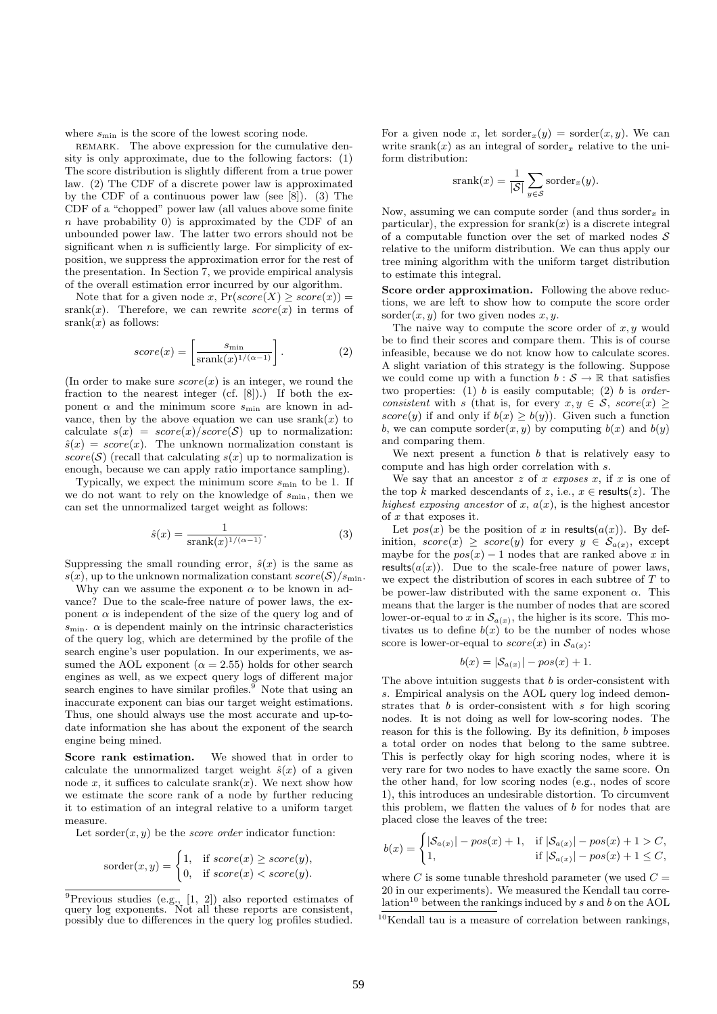where  $s_{\min}$  is the score of the lowest scoring node.

REMARK. The above expression for the cumulative density is only approximate, due to the following factors: (1) The score distribution is slightly different from a true power law. (2) The CDF of a discrete power law is approximated by the CDF of a continuous power law (see [8]). (3) The CDF of a "chopped" power law (all values above some finite  $n$  have probability 0) is approximated by the CDF of an unbounded power law. The latter two errors should not be significant when  $n$  is sufficiently large. For simplicity of exposition, we suppress the approximation error for the rest of the presentation. In Section 7, we provide empirical analysis of the overall estimation error incurred by our algorithm.

Note that for a given node x,  $Pr(score(X) \geq score(x))$  = srank $(x)$ . Therefore, we can rewrite  $score(x)$  in terms of  $srank(x)$  as follows:

$$
score(x) = \left[\frac{s_{\min}}{\text{srank}(x)^{1/(\alpha - 1)}}\right].
$$
 (2)

(In order to make sure  $score(x)$  is an integer, we round the fraction to the nearest integer (cf. [8]).) If both the exponent  $\alpha$  and the minimum score  $s_{\text{min}}$  are known in advance, then by the above equation we can use srank $(x)$  to calculate  $s(x) = score(x)/score(S)$  up to normalization:  $\hat{s}(x) = score(x)$ . The unknown normalization constant is  $score(S)$  (recall that calculating  $s(x)$  up to normalization is enough, because we can apply ratio importance sampling).

Typically, we expect the minimum score  $s_{\min}$  to be 1. If we do not want to rely on the knowledge of  $s_{\min}$ , then we can set the unnormalized target weight as follows:

$$
\hat{s}(x) = \frac{1}{\text{srank}(x)^{1/(\alpha - 1)}}.\tag{3}
$$

Suppressing the small rounding error,  $\hat{s}(x)$  is the same as  $s(x)$ , up to the unknown normalization constant  $score(S)/s_{\text{min}}$ .

Why can we assume the exponent  $\alpha$  to be known in advance? Due to the scale-free nature of power laws, the exponent  $\alpha$  is independent of the size of the query log and of  $s_{\rm min} .$   $\alpha$  is dependent mainly on the intrinsic characteristics of the query log, which are determined by the profile of the search engine's user population. In our experiments, we assumed the AOL exponent ( $\alpha = 2.55$ ) holds for other search engines as well, as we expect query logs of different major search engines to have similar profiles.<sup>9</sup> Note that using an inaccurate exponent can bias our target weight estimations. Thus, one should always use the most accurate and up-todate information she has about the exponent of the search engine being mined.

Score rank estimation. We showed that in order to calculate the unnormalized target weight  $\hat{s}(x)$  of a given node x, it suffices to calculate srank $(x)$ . We next show how we estimate the score rank of a node by further reducing it to estimation of an integral relative to a uniform target measure.

Let sorder $(x, y)$  be the *score order* indicator function:

$$
sorder(x, y) = \begin{cases} 1, & \text{if } score(x) \geq score(y), \\ 0, & \text{if } score(x) < score(y). \end{cases}
$$

For a given node x, let sorder $x(y) = \text{sort}(x, y)$ . We can write srank $(x)$  as an integral of sorder<sub>x</sub> relative to the uniform distribution:

$$
srank(x) = \frac{1}{|\mathcal{S}|} \sum_{y \in \mathcal{S}} sorder_x(y).
$$

Now, assuming we can compute sorder (and thus sorder<sub>x</sub> in particular), the expression for srank $(x)$  is a discrete integral of a computable function over the set of marked nodes  $S$ relative to the uniform distribution. We can thus apply our tree mining algorithm with the uniform target distribution to estimate this integral.

Score order approximation. Following the above reductions, we are left to show how to compute the score order sorder $(x, y)$  for two given nodes  $x, y$ .

The naive way to compute the score order of  $x, y$  would be to find their scores and compare them. This is of course infeasible, because we do not know how to calculate scores. A slight variation of this strategy is the following. Suppose we could come up with a function  $b : \mathcal{S} \to \mathbb{R}$  that satisfies two properties: (1) b is easily computable; (2) b is orderconsistent with s (that is, for every  $x, y \in S$ , score $(x) \geq$ score(y) if and only if  $b(x) \geq b(y)$ ). Given such a function b, we can compute sorder $(x, y)$  by computing  $b(x)$  and  $b(y)$ and comparing them.

We next present a function  $b$  that is relatively easy to compute and has high order correlation with s.

We say that an ancestor  $z$  of  $x$  exposes  $x$ , if  $x$  is one of the top k marked descendants of z, i.e.,  $x \in \text{results}(z)$ . The highest exposing ancestor of x,  $a(x)$ , is the highest ancestor of  $x$  that exposes it.

Let  $pos(x)$  be the position of x in results $(a(x))$ . By definition,  $score(x) \geq score(y)$  for every  $y \in S_{a(x)}$ , except maybe for the  $pos(x) - 1$  nodes that are ranked above x in results $(a(x))$ . Due to the scale-free nature of power laws, we expect the distribution of scores in each subtree of T to be power-law distributed with the same exponent  $\alpha$ . This means that the larger is the number of nodes that are scored lower-or-equal to x in  $\mathcal{S}_{a(x)}$ , the higher is its score. This motivates us to define  $b(x)$  to be the number of nodes whose score is lower-or-equal to  $score(x)$  in  $S_{a(x)}$ :

$$
b(x) = |\mathcal{S}_{a(x)}| - pos(x) + 1.
$$

The above intuition suggests that  $b$  is order-consistent with s. Empirical analysis on the AOL query log indeed demonstrates that  $b$  is order-consistent with  $s$  for high scoring nodes. It is not doing as well for low-scoring nodes. The reason for this is the following. By its definition,  $b$  imposes a total order on nodes that belong to the same subtree. This is perfectly okay for high scoring nodes, where it is very rare for two nodes to have exactly the same score. On the other hand, for low scoring nodes (e.g., nodes of score 1), this introduces an undesirable distortion. To circumvent this problem, we flatten the values of  $b$  for nodes that are placed close the leaves of the tree:

$$
b(x) = \begin{cases} |\mathcal{S}_{a(x)}| - pos(x) + 1, & \text{if } |\mathcal{S}_{a(x)}| - pos(x) + 1 > C, \\ 1, & \text{if } |\mathcal{S}_{a(x)}| - pos(x) + 1 \le C, \end{cases}
$$

where C is some tunable threshold parameter (we used  $C =$ 20 in our experiments). We measured the Kendall tau correlation<sup>10</sup> between the rankings induced by s and b on the AOL

 ${}^{9}$ Previous studies (e.g., [1, 2]) also reported estimates of query log exponents. Not all these reports are consistent, possibly due to differences in the query log profiles studied.

 $10$ Kendall tau is a measure of correlation between rankings.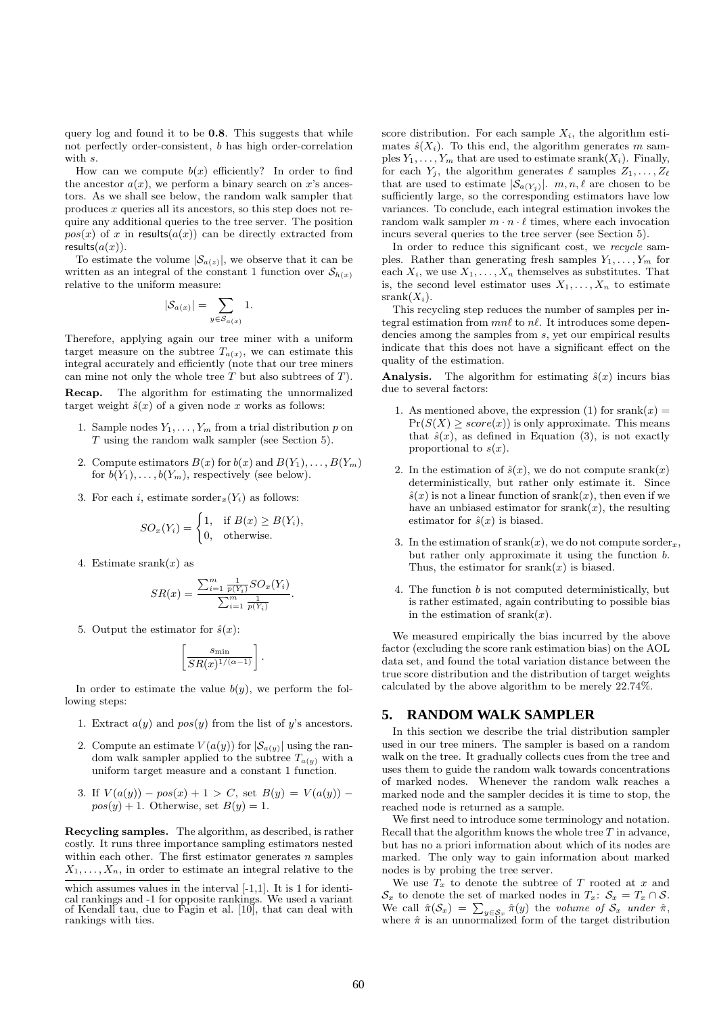query log and found it to be 0.8. This suggests that while not perfectly order-consistent, b has high order-correlation with  $s$ .

How can we compute  $b(x)$  efficiently? In order to find the ancestor  $a(x)$ , we perform a binary search on x's ancestors. As we shall see below, the random walk sampler that produces x queries all its ancestors, so this step does not require any additional queries to the tree server. The position  $pos(x)$  of x in results $(a(x))$  can be directly extracted from results $(a(x))$ .

To estimate the volume  $|\mathcal{S}_{a(z)}|$ , we observe that it can be written as an integral of the constant 1 function over  $S_{h(x)}$ relative to the uniform measure:

$$
|\mathcal{S}_{a(x)}| = \sum_{y \in \mathcal{S}_{a(x)}} 1.
$$

Therefore, applying again our tree miner with a uniform target measure on the subtree  $T_{a(x)}$ , we can estimate this integral accurately and efficiently (note that our tree miners can mine not only the whole tree  $T$  but also subtrees of  $T$ ).

Recap. The algorithm for estimating the unnormalized target weight  $\hat{s}(x)$  of a given node x works as follows:

- 1. Sample nodes  $Y_1, \ldots, Y_m$  from a trial distribution p on T using the random walk sampler (see Section 5).
- 2. Compute estimators  $B(x)$  for  $b(x)$  and  $B(Y_1), \ldots, B(Y_m)$ for  $b(Y_1), \ldots, b(Y_m)$ , respectively (see below).
- 3. For each i, estimate sorder<sub>x</sub> $(Y_i)$  as follows:

$$
SO_x(Y_i) = \begin{cases} 1, & \text{if } B(x) \ge B(Y_i), \\ 0, & \text{otherwise.} \end{cases}
$$

4. Estimate srank $(x)$  as

$$
SR(x) = \frac{\sum_{i=1}^{m} \frac{1}{p(Y_i)} SO_x(Y_i)}{\sum_{i=1}^{m} \frac{1}{p(Y_i)}}.
$$

5. Output the estimator for  $\hat{s}(x)$ :

$$
\left[\frac{s_{\min}}{SR(x)^{1/(\alpha-1)}}\right].
$$

In order to estimate the value  $b(y)$ , we perform the following steps:

- 1. Extract  $a(y)$  and  $pos(y)$  from the list of y's ancestors.
- 2. Compute an estimate  $V(a(y))$  for  $|\mathcal{S}_{a(y)}|$  using the random walk sampler applied to the subtree  $T_{a(y)}$  with a uniform target measure and a constant 1 function.
- 3. If  $V(a(y)) pos(x) + 1 > C$ , set  $B(y) = V(a(y))$  $pos(y) + 1$ . Otherwise, set  $B(y) = 1$ .

Recycling samples. The algorithm, as described, is rather costly. It runs three importance sampling estimators nested within each other. The first estimator generates  $n$  samples  $X_1, \ldots, X_n$ , in order to estimate an integral relative to the

score distribution. For each sample  $X_i$ , the algorithm estimates  $\hat{s}(X_i)$ . To this end, the algorithm generates m samples  $Y_1, \ldots, Y_m$  that are used to estimate srank $(X_i)$ . Finally, for each  $Y_j$ , the algorithm generates  $\ell$  samples  $Z_1, \ldots, Z_\ell$ that are used to estimate  $|S_{a(Y_i)}|$ .  $m, n, \ell$  are chosen to be sufficiently large, so the corresponding estimators have low variances. To conclude, each integral estimation invokes the random walk sampler  $m \cdot n \cdot \ell$  times, where each invocation incurs several queries to the tree server (see Section 5).

In order to reduce this significant cost, we recycle samples. Rather than generating fresh samples  $Y_1, \ldots, Y_m$  for each  $X_i$ , we use  $X_1, \ldots, X_n$  themselves as substitutes. That is, the second level estimator uses  $X_1, \ldots, X_n$  to estimate  $srank(X_i)$ .

This recycling step reduces the number of samples per integral estimation from  $mn\ell$  to  $n\ell$ . It introduces some dependencies among the samples from s, yet our empirical results indicate that this does not have a significant effect on the quality of the estimation.

**Analysis.** The algorithm for estimating  $\hat{s}(x)$  incurs bias due to several factors:

- 1. As mentioned above, the expression (1) for srank $(x)$  =  $Pr(S(X) \geq score(x))$  is only approximate. This means that  $\hat{s}(x)$ , as defined in Equation (3), is not exactly proportional to  $s(x)$ .
- 2. In the estimation of  $\hat{s}(x)$ , we do not compute srank $(x)$ deterministically, but rather only estimate it. Since  $\hat{s}(x)$  is not a linear function of srank $(x)$ , then even if we have an unbiased estimator for  $srank(x)$ , the resulting estimator for  $\hat{s}(x)$  is biased.
- 3. In the estimation of srank $(x)$ , we do not compute sorder<sub>x</sub>, but rather only approximate it using the function b. Thus, the estimator for  $srank(x)$  is biased.
- 4. The function b is not computed deterministically, but is rather estimated, again contributing to possible bias in the estimation of srank $(x)$ .

We measured empirically the bias incurred by the above factor (excluding the score rank estimation bias) on the AOL data set, and found the total variation distance between the true score distribution and the distribution of target weights calculated by the above algorithm to be merely 22.74%.

#### **5. RANDOM WALK SAMPLER**

In this section we describe the trial distribution sampler used in our tree miners. The sampler is based on a random walk on the tree. It gradually collects cues from the tree and uses them to guide the random walk towards concentrations of marked nodes. Whenever the random walk reaches a marked node and the sampler decides it is time to stop, the reached node is returned as a sample.

We first need to introduce some terminology and notation. Recall that the algorithm knows the whole tree  $T$  in advance, but has no a priori information about which of its nodes are marked. The only way to gain information about marked nodes is by probing the tree server.

We use  $T_x$  to denote the subtree of T rooted at x and  $\mathcal{S}_x$  to denote the set of marked nodes in  $T_x$ :  $\mathcal{S}_x = T_x \cap \mathcal{S}$ . We call  $\hat{\pi}(\mathcal{S}_x) = \sum_{y \in \mathcal{S}_x} \hat{\pi}(y)$  the volume of  $\mathcal{S}_x$  under  $\hat{\pi}$ , where  $\hat{\pi}$  is an unnormalized form of the target distribution

which assumes values in the interval [-1,1]. It is 1 for identical rankings and -1 for opposite rankings. We used a variant of Kendall tau, due to Fagin et al. [10], that can deal with rankings with ties.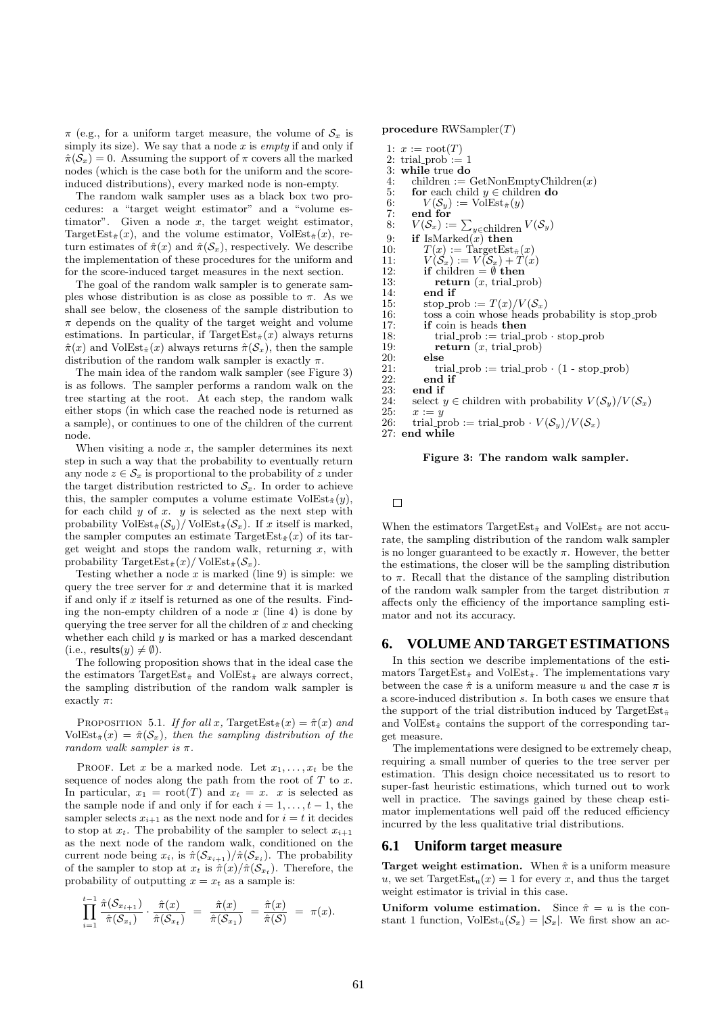$\pi$  (e.g., for a uniform target measure, the volume of  $S_x$  is simply its size). We say that a node  $x$  is empty if and only if  $\hat{\pi}(\mathcal{S}_x) = 0$ . Assuming the support of  $\pi$  covers all the marked nodes (which is the case both for the uniform and the scoreinduced distributions), every marked node is non-empty.

The random walk sampler uses as a black box two procedures: a "target weight estimator" and a "volume estimator". Given a node  $x$ , the target weight estimator, TargetEst $_{\hat{\pi}}(x)$ , and the volume estimator, VolEst $_{\hat{\pi}}(x)$ , return estimates of  $\hat{\pi}(x)$  and  $\hat{\pi}(\mathcal{S}_x)$ , respectively. We describe the implementation of these procedures for the uniform and for the score-induced target measures in the next section.

The goal of the random walk sampler is to generate samples whose distribution is as close as possible to  $\pi$ . As we shall see below, the closeness of the sample distribution to  $\pi$  depends on the quality of the target weight and volume estimations. In particular, if  $TargetEst_{\hat{\pi}}(x)$  always returns  $\hat{\pi}(x)$  and VolEst $_{\hat{\pi}}(x)$  always returns  $\hat{\pi}(\mathcal{S}_x)$ , then the sample distribution of the random walk sampler is exactly  $\pi$ .

The main idea of the random walk sampler (see Figure 3) is as follows. The sampler performs a random walk on the tree starting at the root. At each step, the random walk either stops (in which case the reached node is returned as a sample), or continues to one of the children of the current node.

When visiting a node  $x$ , the sampler determines its next step in such a way that the probability to eventually return any node  $z \in \mathcal{S}_x$  is proportional to the probability of z under the target distribution restricted to  $S_x$ . In order to achieve this, the sampler computes a volume estimate  $VolEst_{\hat{\pi}}(y)$ , for each child  $y$  of  $x$ .  $y$  is selected as the next step with probability  $VolEst_{\hat{\pi}}(\mathcal{S}_y)/VolEst_{\hat{\pi}}(\mathcal{S}_x)$ . If x itself is marked, the sampler computes an estimate  $TargetEst_{\hat{\pi}}(x)$  of its target weight and stops the random walk, returning  $x$ , with probability TargetEst $_{\hat{\pi}}(x)$ /VolEst $_{\hat{\pi}}(\mathcal{S}_x)$ .

Testing whether a node  $x$  is marked (line 9) is simple: we query the tree server for  $x$  and determine that it is marked if and only if  $x$  itself is returned as one of the results. Finding the non-empty children of a node  $x$  (line 4) is done by querying the tree server for all the children of  $x$  and checking whether each child  $y$  is marked or has a marked descendant (i.e., results $(y) \neq \emptyset$ ).

The following proposition shows that in the ideal case the the estimators TargetEst $_{\hat{\pi}}$  and VolEst $_{\hat{\pi}}$  are always correct, the sampling distribution of the random walk sampler is exactly  $\pi$ :

PROPOSITION 5.1. If for all x, TargetEst $_{\hat{\pi}}(x) = \hat{\pi}(x)$  and VolEst<sub> $\hat{\pi}(x) = \hat{\pi}(\mathcal{S}_x)$ , then the sampling distribution of the</sub> random walk sampler is  $\pi$ .

PROOF. Let x be a marked node. Let  $x_1, \ldots, x_t$  be the sequence of nodes along the path from the root of  $T$  to  $x$ . In particular,  $x_1 = \text{root}(T)$  and  $x_t = x$ . x is selected as the sample node if and only if for each  $i = 1, \ldots, t - 1$ , the sampler selects  $x_{i+1}$  as the next node and for  $i = t$  it decides to stop at  $x_t$ . The probability of the sampler to select  $x_{i+1}$ as the next node of the random walk, conditioned on the current node being  $x_i$ , is  $\hat{\pi}(\mathcal{S}_{x_{i+1}})/\hat{\pi}(\mathcal{S}_{x_i})$ . The probability of the sampler to stop at  $x_t$  is  $\hat{\pi}(x)/\hat{\pi}(\mathcal{S}_{x_t})$ . Therefore, the probability of outputting  $x = x_t$  as a sample is:

$$
\prod_{i=1}^{t-1} \frac{\hat{\pi}({\cal S}_{x_{i+1}})}{\hat{\pi}({\cal S}_{x_i})}\cdot \frac{\hat{\pi}(x)}{\hat{\pi}({\cal S}_{x_t})} \,\, = \,\, \frac{\hat{\pi}(x)}{\hat{\pi}({\cal S}_{x_1})} \,\, = \frac{\hat{\pi}(x)}{\hat{\pi}({\cal S})} \,\, = \,\, \pi(x).
$$

procedure  $RWSampler(T)$ 

```
1: x := \text{root}(T)2: trial_prob := 1<br>3: while true do
 3: while true do 4: children := \theta4: children := GetNonEmptyChildren(x)<br>5: for each child u \in children do
 5: for each child y \in \text{children} do<br>6: V(S_u) := \text{VolEst}_{\hat{\pi}}(y)6: V(S_y) := \text{VolEst}_{\hat{\pi}}(y)<br>7: end for
          end for
  8: V(S_x) := \sum_{y \in \text{children}} V(S_y)9: if IsMarked(x) then<br>10: T(x) :=TargetEst
10: T(x) := \text{TargetEst}_{\hat{\pi}}(x)<br>11: V(S_n) := V(S_n) + T(x)V(\mathcal{S}_x) := V(\mathcal{S}_x) + T(x)12: if children = \emptyset then<br>13: return (x, \text{ trial_pr})13: return (x, \text{trial\_prob})<br>14: end if
14: end if<br>15: stop p
15: stop-prob := T(x)/V(S_x)<br>16: toss a coin whose heads p
16: toss a coin whose heads probability is stop-prob 17: if coin is heads then
17: if coin is heads then<br>18: i trial prob := trial p
18: trial prob := trial prob · stop prob<br>19: return (x, \text{ trial\_prob})19: return (x, \text{trial-prob})<br>20: else
20: \begin{array}{c} \text{else} \\ \text{21}: \end{array}21: trial_prob := trial_prob \cdot (1 - stop_prob)<br>22: end if
22: end if<br>
23: end if
23: end if<br>24: select y
24: select y \in children with probability V(S_y)/V(S_x)<br>25: x := y25: x := y<br>26: trial_p
          trial prob := trial prob \cdot V(\mathcal{S}_v)/V(\mathcal{S}_x)27<sup>°</sup> end while
```
#### Figure 3: The random walk sampler.

 $\Box$ 

When the estimators TargetEst $_{\hat{\pi}}$  and VolEst $_{\hat{\pi}}$  are not accurate, the sampling distribution of the random walk sampler is no longer guaranteed to be exactly  $\pi$ . However, the better the estimations, the closer will be the sampling distribution to π. Recall that the distance of the sampling distribution of the random walk sampler from the target distribution  $\pi$ affects only the efficiency of the importance sampling estimator and not its accuracy.

#### **6. VOLUME AND TARGET ESTIMATIONS**

In this section we describe implementations of the estimators TargetEst $_{\hat{\pi}}$  and VolEst $_{\hat{\pi}}$ . The implementations vary between the case  $\hat{\pi}$  is a uniform measure u and the case  $\pi$  is a score-induced distribution s. In both cases we ensure that the support of the trial distribution induced by TargetEst $_{\hat{\pi}}$ and VolEst $_{\hat{\pi}}$  contains the support of the corresponding target measure.

The implementations were designed to be extremely cheap, requiring a small number of queries to the tree server per estimation. This design choice necessitated us to resort to super-fast heuristic estimations, which turned out to work well in practice. The savings gained by these cheap estimator implementations well paid off the reduced efficiency incurred by the less qualitative trial distributions.

#### **6.1 Uniform target measure**

**Target weight estimation.** When  $\hat{\pi}$  is a uniform measure u, we set  $TargetEst_u(x) = 1$  for every x, and thus the target weight estimator is trivial in this case.

Uniform volume estimation. Since  $\hat{\pi} = u$  is the constant 1 function,  $VolEst_u(\mathcal{S}_x) = |\mathcal{S}_x|$ . We first show an ac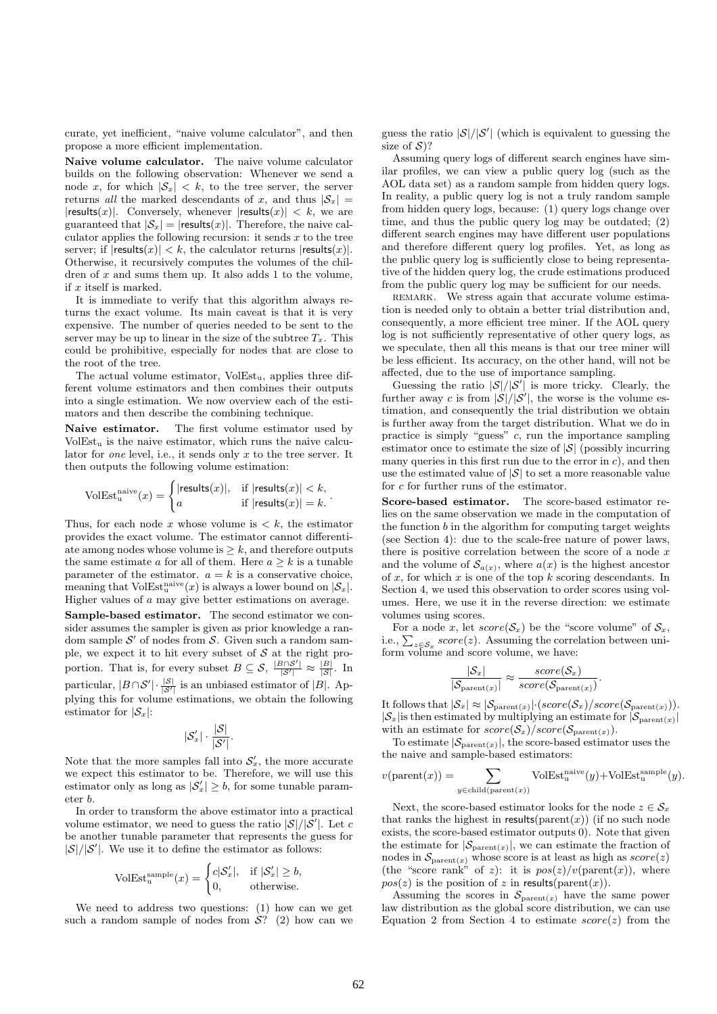curate, yet inefficient, "naive volume calculator", and then propose a more efficient implementation.

Naive volume calculator. The naive volume calculator builds on the following observation: Whenever we send a node x, for which  $|\mathcal{S}_x| < k$ , to the tree server, the server returns all the marked descendants of x, and thus  $|\mathcal{S}_x|$  =  $|{\sf results}(x)|$ . Conversely, whenever  $|{\sf results}(x)| < k$ , we are guaranteed that  $|\mathcal{S}_x| = |{\text{results}}(x)|$ . Therefore, the naive calculator applies the following recursion: it sends  $x$  to the tree server; if  $|\text{results}(x)| < k$ , the calculator returns  $|\text{results}(x)|$ . Otherwise, it recursively computes the volumes of the children of  $x$  and sums them up. It also adds 1 to the volume, if  $x$  itself is marked.

It is immediate to verify that this algorithm always returns the exact volume. Its main caveat is that it is very expensive. The number of queries needed to be sent to the server may be up to linear in the size of the subtree  $T<sub>x</sub>$ . This could be prohibitive, especially for nodes that are close to the root of the tree.

The actual volume estimator,  $VolEst_u$ , applies three different volume estimators and then combines their outputs into a single estimation. We now overview each of the estimators and then describe the combining technique.

Naive estimator. The first volume estimator used by  $VolEst_u$  is the naive estimator, which runs the naive calculator for *one* level, i.e., it sends only  $x$  to the tree server. It then outputs the following volume estimation:

$$
\text{VolEst}_{\mathbf{u}}^{\text{naive}}(x) = \begin{cases} |\text{results}(x)|, & \text{if } |\text{results}(x)| < k, \\ a & \text{if } |\text{results}(x)| = k. \end{cases}
$$

.

Thus, for each node x whose volume is  $\lt k$ , the estimator provides the exact volume. The estimator cannot differentiate among nodes whose volume is  $\geq k$ , and therefore outputs the same estimate a for all of them. Here  $a \geq k$  is a tunable parameter of the estimator.  $a = k$  is a conservative choice, meaning that  $\text{VolEst}_{u}^{\text{naive}}(x)$  is always a lower bound on  $|\mathcal{S}_x|$ . Higher values of a may give better estimations on average. Sample-based estimator. The second estimator we consider assumes the sampler is given as prior knowledge a random sample  $\mathcal{S}'$  of nodes from  $\mathcal{S}$ . Given such a random sample, we expect it to hit every subset of  $S$  at the right proportion. That is, for every subset  $B \subseteq S$ ,  $\frac{|B \cap S'|}{|S'|} \approx \frac{|B|}{|S|}$ . In particular,  $|B \cap S'| \cdot \frac{|S|}{|S'|}$  is an unbiased estimator of  $|B|$ . Applying this for volume estimations, we obtain the following estimator for  $|\mathcal{S}_x|$ :

$$
|\mathcal{S}'_x|\cdot \frac{|\mathcal{S}|}{|\mathcal{S}'|}.
$$

Note that the more samples fall into  $\mathcal{S}'_x$ , the more accurate we expect this estimator to be. Therefore, we will use this estimator only as long as  $|S'_x| \geq b$ , for some tunable parameter b.

In order to transform the above estimator into a practical volume estimator, we need to guess the ratio  $|\mathcal{S}|/|\mathcal{S}'|$ . Let c be another tunable parameter that represents the guess for  $|\mathcal{S}|/|\mathcal{S}'|$ . We use it to define the estimator as follows:

$$
\text{VolEst}_{\mathbf{u}}^{\text{sample}}(x) = \begin{cases} c|\mathcal{S}'_x|, & \text{if } |\mathcal{S}'_x| \ge b, \\ 0, & \text{otherwise.} \end{cases}
$$

We need to address two questions: (1) how can we get such a random sample of nodes from  $\mathcal{S}$ ? (2) how can we guess the ratio  $|\mathcal{S}|/|\mathcal{S}'|$  (which is equivalent to guessing the size of  $S$ ?

Assuming query logs of different search engines have similar profiles, we can view a public query log (such as the AOL data set) as a random sample from hidden query logs. In reality, a public query log is not a truly random sample from hidden query logs, because: (1) query logs change over time, and thus the public query log may be outdated; (2) different search engines may have different user populations and therefore different query log profiles. Yet, as long as the public query log is sufficiently close to being representative of the hidden query log, the crude estimations produced from the public query log may be sufficient for our needs.

REMARK. We stress again that accurate volume estimation is needed only to obtain a better trial distribution and, consequently, a more efficient tree miner. If the AOL query log is not sufficiently representative of other query logs, as we speculate, then all this means is that our tree miner will be less efficient. Its accuracy, on the other hand, will not be affected, due to the use of importance sampling.

Guessing the ratio  $|S|/|S'|$  is more tricky. Clearly, the further away c is from  $|\mathcal{S}|/|\mathcal{S}'|$ , the worse is the volume estimation, and consequently the trial distribution we obtain is further away from the target distribution. What we do in practice is simply "guess"  $c$ , run the importance sampling estimator once to estimate the size of  $|\mathcal{S}|$  (possibly incurring many queries in this first run due to the error in  $c$ ), and then use the estimated value of  $|S|$  to set a more reasonable value for c for further runs of the estimator.

Score-based estimator. The score-based estimator relies on the same observation we made in the computation of the function  $b$  in the algorithm for computing target weights (see Section 4): due to the scale-free nature of power laws, there is positive correlation between the score of a node  $x$ and the volume of  $\mathcal{S}_{a(x)}$ , where  $a(x)$  is the highest ancestor of  $x$ , for which  $x$  is one of the top  $k$  scoring descendants. In Section 4, we used this observation to order scores using volumes. Here, we use it in the reverse direction: we estimate volumes using scores.

For a node x, let  $score(\mathcal{S}_x)$  be the "score volume" of  $\mathcal{S}_x$ , i.e.,  $\sum_{z \in \mathcal{S}_x} score(z)$ . Assuming the correlation between uniform volume and score volume, we have:

$$
\frac{|\mathcal{S}_x|}{|\mathcal{S}_{\text{parent}(x)}|} \approx \frac{\text{score}(\mathcal{S}_x)}{\text{score}(\mathcal{S}_{\text{parent}(x)})}
$$

.

It follows that  $|\mathcal{S}_x| \approx |\mathcal{S}_{\text{parent}(x)}| \cdot (score(\mathcal{S}_x)/score(\mathcal{S}_{\text{parent}(x)})).$  $|\mathcal{S}_x|$  is then estimated by multiplying an estimate for  $|\mathcal{S}_{\text{parent}(x)}|$ with an estimate for  $score(S_x)/score(S_{parent(x)})$ .

To estimate  $|\mathcal{S}_{\text{parent}(x)}|$ , the score-based estimator uses the the naive and sample-based estimators:

$$
v(\text{parent}(x)) = \sum_{y \in \text{child}(\text{parent}(x))} \text{VolEst}_{u}^{\text{naive}}(y) + \text{VolEst}_{u}^{\text{sample}}(y).
$$

Next, the score-based estimator looks for the node  $z \in S_x$ that ranks the highest in results( $\text{parent}(x)$ ) (if no such node exists, the score-based estimator outputs 0). Note that given the estimate for  $|\mathcal{S}_{\text{parent}(x)}|$ , we can estimate the fraction of nodes in  $\mathcal{S}_{\text{parent}(x)}$  whose score is at least as high as  $score(z)$ (the "score rank" of z): it is  $pos(z)/v(parent(x))$ , where  $pos(z)$  is the position of z in results(parent(x)).

Assuming the scores in  $\mathcal{S}_{\text{parent}(x)}$  have the same power law distribution as the global score distribution, we can use Equation 2 from Section 4 to estimate  $score(z)$  from the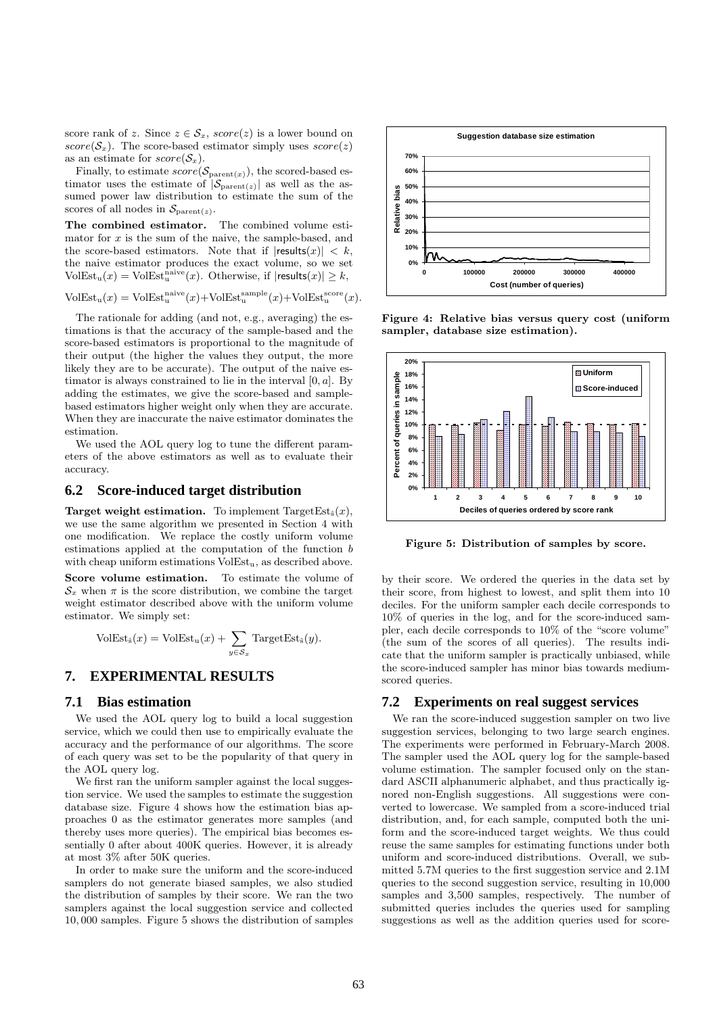score rank of z. Since  $z \in S_x$ , score(z) is a lower bound on  $score(S_x)$ . The score-based estimator simply uses  $score(z)$ as an estimate for  $score(S_x)$ .

Finally, to estimate  $score(\mathcal{S}_{parent(x)})$ , the scored-based estimator uses the estimate of  $|\mathcal{S}_{parent(z)}|$  as well as the assumed power law distribution to estimate the sum of the scores of all nodes in  $\mathcal{S}_{\text{parent}(z)}$ .

The combined estimator. The combined volume estimator for  $x$  is the sum of the naive, the sample-based, and the score-based estimators. Note that if  $|{\sf results}(x)| < k$ , the naive estimator produces the exact volume, so we set  $\text{VolEst}_{\mathbf{u}}(x) = \text{VolEst}_{\mathbf{u}}^{\text{naive}}(x)$ . Otherwise, if  $|\text{results}(x)| \geq k$ ,

$$
VolEst_u(x) = VolEst_u^{naive}(x) + VolEst_u^{sample}(x) + VolEst_u^{score}(x).
$$

The rationale for adding (and not, e.g., averaging) the estimations is that the accuracy of the sample-based and the score-based estimators is proportional to the magnitude of their output (the higher the values they output, the more likely they are to be accurate). The output of the naive estimator is always constrained to lie in the interval  $[0, a]$ . By adding the estimates, we give the score-based and samplebased estimators higher weight only when they are accurate. When they are inaccurate the naive estimator dominates the estimation.

We used the AOL query log to tune the different parameters of the above estimators as well as to evaluate their accuracy.

#### **6.2 Score-induced target distribution**

**Target weight estimation.** To implement  $TargetEst_{\epsilon}(x)$ , we use the same algorithm we presented in Section 4 with one modification. We replace the costly uniform volume estimations applied at the computation of the function b with cheap uniform estimations  $VolEst_{u}$ , as described above.

Score volume estimation. To estimate the volume of  $\mathcal{S}_x$  when  $\pi$  is the score distribution, we combine the target weight estimator described above with the uniform volume estimator. We simply set:

$$
VolEst_{\hat{s}}(x) = VolEst_u(x) + \sum_{y \in S_x} TargetEst_{\hat{s}}(y).
$$

# **7. EXPERIMENTAL RESULTS**

#### **7.1 Bias estimation**

We used the AOL query log to build a local suggestion service, which we could then use to empirically evaluate the accuracy and the performance of our algorithms. The score of each query was set to be the popularity of that query in the AOL query log.

We first ran the uniform sampler against the local suggestion service. We used the samples to estimate the suggestion database size. Figure 4 shows how the estimation bias approaches 0 as the estimator generates more samples (and thereby uses more queries). The empirical bias becomes essentially 0 after about 400K queries. However, it is already at most 3% after 50K queries.

In order to make sure the uniform and the score-induced samplers do not generate biased samples, we also studied the distribution of samples by their score. We ran the two samplers against the local suggestion service and collected 10, 000 samples. Figure 5 shows the distribution of samples



Figure 4: Relative bias versus query cost (uniform sampler, database size estimation).



Figure 5: Distribution of samples by score.

by their score. We ordered the queries in the data set by their score, from highest to lowest, and split them into 10 deciles. For the uniform sampler each decile corresponds to 10% of queries in the log, and for the score-induced sampler, each decile corresponds to 10% of the "score volume" (the sum of the scores of all queries). The results indicate that the uniform sampler is practically unbiased, while the score-induced sampler has minor bias towards mediumscored queries.

#### **7.2 Experiments on real suggest services**

We ran the score-induced suggestion sampler on two live suggestion services, belonging to two large search engines. The experiments were performed in February-March 2008. The sampler used the AOL query log for the sample-based volume estimation. The sampler focused only on the standard ASCII alphanumeric alphabet, and thus practically ignored non-English suggestions. All suggestions were converted to lowercase. We sampled from a score-induced trial distribution, and, for each sample, computed both the uniform and the score-induced target weights. We thus could reuse the same samples for estimating functions under both uniform and score-induced distributions. Overall, we submitted 5.7M queries to the first suggestion service and 2.1M queries to the second suggestion service, resulting in 10,000 samples and 3,500 samples, respectively. The number of submitted queries includes the queries used for sampling suggestions as well as the addition queries used for score-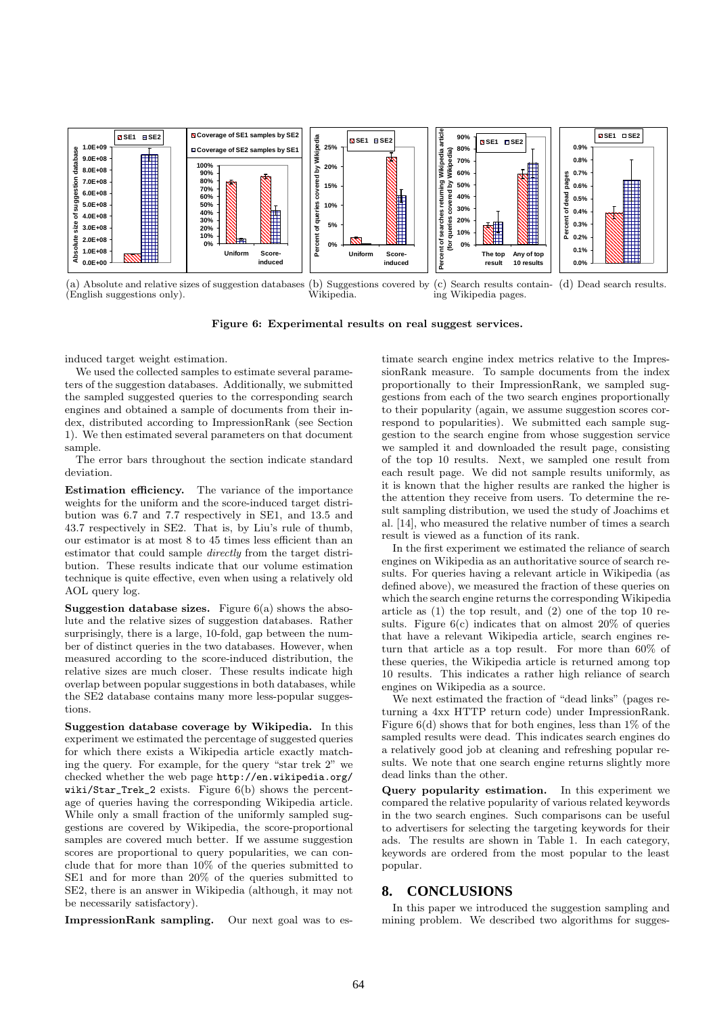

(a) Absolute and relative sizes of suggestion databases (English suggestions only). (b) Suggestions covered by Wikipedia. (c) Search results contain-(d) Dead search results. ing Wikipedia pages.

Figure 6: Experimental results on real suggest services.

induced target weight estimation.

We used the collected samples to estimate several parameters of the suggestion databases. Additionally, we submitted the sampled suggested queries to the corresponding search engines and obtained a sample of documents from their index, distributed according to ImpressionRank (see Section 1). We then estimated several parameters on that document sample.

The error bars throughout the section indicate standard deviation.

Estimation efficiency. The variance of the importance weights for the uniform and the score-induced target distribution was 6.7 and 7.7 respectively in SE1, and 13.5 and 43.7 respectively in SE2. That is, by Liu's rule of thumb, our estimator is at most 8 to 45 times less efficient than an estimator that could sample directly from the target distribution. These results indicate that our volume estimation technique is quite effective, even when using a relatively old AOL query log.

**Suggestion database sizes.** Figure  $6(a)$  shows the absolute and the relative sizes of suggestion databases. Rather surprisingly, there is a large, 10-fold, gap between the number of distinct queries in the two databases. However, when measured according to the score-induced distribution, the relative sizes are much closer. These results indicate high overlap between popular suggestions in both databases, while the SE2 database contains many more less-popular suggestions.

Suggestion database coverage by Wikipedia. In this experiment we estimated the percentage of suggested queries for which there exists a Wikipedia article exactly matching the query. For example, for the query "star trek 2" we checked whether the web page http://en.wikipedia.org/ wiki/Star\_Trek\_2 exists. Figure 6(b) shows the percentage of queries having the corresponding Wikipedia article. While only a small fraction of the uniformly sampled suggestions are covered by Wikipedia, the score-proportional samples are covered much better. If we assume suggestion scores are proportional to query popularities, we can conclude that for more than 10% of the queries submitted to SE1 and for more than 20% of the queries submitted to SE2, there is an answer in Wikipedia (although, it may not be necessarily satisfactory).

ImpressionRank sampling. Our next goal was to es-

timate search engine index metrics relative to the ImpressionRank measure. To sample documents from the index proportionally to their ImpressionRank, we sampled suggestions from each of the two search engines proportionally to their popularity (again, we assume suggestion scores correspond to popularities). We submitted each sample suggestion to the search engine from whose suggestion service we sampled it and downloaded the result page, consisting of the top 10 results. Next, we sampled one result from each result page. We did not sample results uniformly, as it is known that the higher results are ranked the higher is the attention they receive from users. To determine the result sampling distribution, we used the study of Joachims et al. [14], who measured the relative number of times a search result is viewed as a function of its rank.

In the first experiment we estimated the reliance of search engines on Wikipedia as an authoritative source of search results. For queries having a relevant article in Wikipedia (as defined above), we measured the fraction of these queries on which the search engine returns the corresponding Wikipedia article as (1) the top result, and (2) one of the top 10 results. Figure  $6(c)$  indicates that on almost  $20\%$  of queries that have a relevant Wikipedia article, search engines return that article as a top result. For more than 60% of these queries, the Wikipedia article is returned among top 10 results. This indicates a rather high reliance of search engines on Wikipedia as a source.

We next estimated the fraction of "dead links" (pages returning a 4xx HTTP return code) under ImpressionRank. Figure  $6(d)$  shows that for both engines, less than  $1\%$  of the sampled results were dead. This indicates search engines do a relatively good job at cleaning and refreshing popular results. We note that one search engine returns slightly more dead links than the other.

Query popularity estimation. In this experiment we compared the relative popularity of various related keywords in the two search engines. Such comparisons can be useful to advertisers for selecting the targeting keywords for their ads. The results are shown in Table 1. In each category, keywords are ordered from the most popular to the least popular.

#### **8. CONCLUSIONS**

In this paper we introduced the suggestion sampling and mining problem. We described two algorithms for sugges-